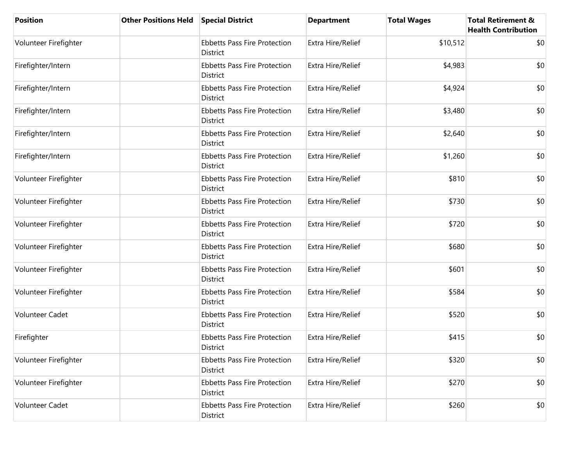| <b>Position</b>       | <b>Other Positions Held</b> | <b>Special District</b>                                | <b>Department</b> | <b>Total Wages</b> | <b>Total Retirement &amp;</b><br><b>Health Contribution</b> |
|-----------------------|-----------------------------|--------------------------------------------------------|-------------------|--------------------|-------------------------------------------------------------|
| Volunteer Firefighter |                             | <b>Ebbetts Pass Fire Protection</b><br>District        | Extra Hire/Relief | \$10,512           | \$0                                                         |
| Firefighter/Intern    |                             | <b>Ebbetts Pass Fire Protection</b><br>District        | Extra Hire/Relief | \$4,983            | \$0                                                         |
| Firefighter/Intern    |                             | <b>Ebbetts Pass Fire Protection</b><br>District        | Extra Hire/Relief | \$4,924            | \$0                                                         |
| Firefighter/Intern    |                             | <b>Ebbetts Pass Fire Protection</b><br>District        | Extra Hire/Relief | \$3,480            | \$0                                                         |
| Firefighter/Intern    |                             | <b>Ebbetts Pass Fire Protection</b><br><b>District</b> | Extra Hire/Relief | \$2,640            | \$0                                                         |
| Firefighter/Intern    |                             | <b>Ebbetts Pass Fire Protection</b><br>District        | Extra Hire/Relief | \$1,260            | \$0                                                         |
| Volunteer Firefighter |                             | <b>Ebbetts Pass Fire Protection</b><br>District        | Extra Hire/Relief | \$810              | \$0                                                         |
| Volunteer Firefighter |                             | <b>Ebbetts Pass Fire Protection</b><br>District        | Extra Hire/Relief | \$730              | \$0                                                         |
| Volunteer Firefighter |                             | <b>Ebbetts Pass Fire Protection</b><br>District        | Extra Hire/Relief | \$720              | \$0                                                         |
| Volunteer Firefighter |                             | <b>Ebbetts Pass Fire Protection</b><br>District        | Extra Hire/Relief | \$680              | \$0                                                         |
| Volunteer Firefighter |                             | <b>Ebbetts Pass Fire Protection</b><br>District        | Extra Hire/Relief | \$601              | \$0                                                         |
| Volunteer Firefighter |                             | <b>Ebbetts Pass Fire Protection</b><br>District        | Extra Hire/Relief | \$584              | \$0                                                         |
| Volunteer Cadet       |                             | <b>Ebbetts Pass Fire Protection</b><br><b>District</b> | Extra Hire/Relief | \$520              | \$0                                                         |
| Firefighter           |                             | <b>Ebbetts Pass Fire Protection</b><br>District        | Extra Hire/Relief | \$415              | \$0                                                         |
| Volunteer Firefighter |                             | <b>Ebbetts Pass Fire Protection</b><br>District        | Extra Hire/Relief | \$320              | \$0                                                         |
| Volunteer Firefighter |                             | <b>Ebbetts Pass Fire Protection</b><br>District        | Extra Hire/Relief | \$270              | \$0                                                         |
| Volunteer Cadet       |                             | <b>Ebbetts Pass Fire Protection</b><br>District        | Extra Hire/Relief | \$260              | \$0                                                         |